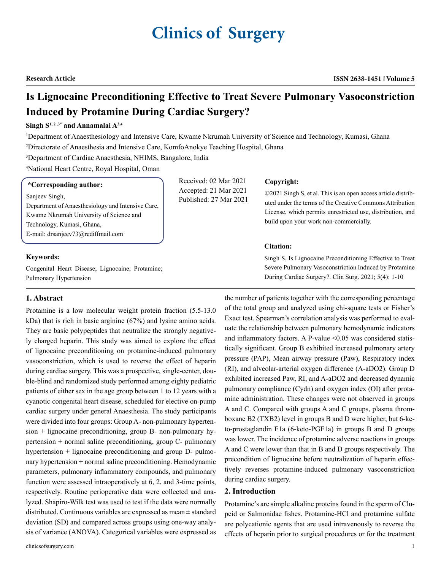# **Clinics of Surgery**

# **Is Lignocaine Preconditioning Effective to Treat Severe Pulmonary Vasoconstriction Induced by Protamine During Cardiac Surgery?**

### Singh S<sup>1, 2, 3\*</sup> and Annamalai A<sup>3,4</sup>

1 Department of Anaesthesiology and Intensive Care, Kwame Nkrumah University of Science and Technology, Kumasi, Ghana 2 Directorate of Anaesthesia and Intensive Care, KomfoAnokye Teaching Hospital, Ghana

3 Department of Cardiac Anaesthesia, NHIMS, Bangalore, India

4 National Heart Centre, Royal Hospital, Oman

#### **\*Corresponding author:**

Sanjeev Singh,

Department of Anaesthesiology and Intensive Care, Kwame Nkrumah University of Science and Technology, Kumasi, Ghana, E-mail: drsanjeev73@rediffmail.com

#### **Keywords:**

Congenital Heart Disease; Lignocaine; Protamine; Pulmonary Hypertension

#### **1. Abstract**

Protamine is a low molecular weight protein fraction (5.5-13.0 kDa) that is rich in basic arginine (67%) and lysine amino acids. They are basic polypeptides that neutralize the strongly negatively charged heparin. This study was aimed to explore the effect of lignocaine preconditioning on protamine-induced pulmonary vasoconstriction, which is used to reverse the effect of heparin during cardiac surgery. This was a prospective, single-center, double-blind and randomized study performed among eighty pediatric patients of either sex in the age group between 1 to 12 years with a cyanotic congenital heart disease, scheduled for elective on-pump cardiac surgery under general Anaesthesia. The study participants were divided into four groups: Group A- non-pulmonary hypertension + lignocaine preconditioning, group B- non-pulmonary hypertension + normal saline preconditioning, group C- pulmonary hypertension + lignocaine preconditioning and group D- pulmonary hypertension + normal saline preconditioning. Hemodynamic parameters, pulmonary inflammatory compounds, and pulmonary function were assessed intraoperatively at 6, 2, and 3-time points, respectively. Routine perioperative data were collected and analyzed. Shapiro-Wilk test was used to test if the data were normally distributed. Continuous variables are expressed as mean ± standard deviation (SD) and compared across groups using one-way analysis of variance (ANOVA). Categorical variables were expressed as

Received: 02 Mar 2021 Accepted: 21 Mar 2021 Published: 27 Mar 2021

#### **Copyright:**

©2021 Singh S, et al. This is an open access article distributed under the terms of the Creative Commons Attribution License, which permits unrestricted use, distribution, and build upon your work non-commercially.

#### **Citation:**

Singh S, Is Lignocaine Preconditioning Effective to Treat Severe Pulmonary Vasoconstriction Induced by Protamine During Cardiac Surgery?. Clin Surg. 2021; 5(4): 1-10

the number of patients together with the corresponding percentage of the total group and analyzed using chi-square tests or Fisher's Exact test. Spearman's correlation analysis was performed to evaluate the relationship between pulmonary hemodynamic indicators and inflammatory factors. A P-value  $\leq 0.05$  was considered statistically significant. Group B exhibited increased pulmonary artery pressure (PAP), Mean airway pressure (Paw), Respiratory index (RI), and alveolar-arterial oxygen difference (A-aDO2). Group D exhibited increased Paw, RI, and A-aDO2 and decreased dynamic pulmonary compliance (Cydn) and oxygen index (OI) after protamine administration. These changes were not observed in groups A and C. Compared with groups A and C groups, plasma thromboxane B2 (TXB2) level in groups B and D were higher, but 6-keto-prostaglandin F1a (6-keto-PGF1a) in groups B and D groups was lower. The incidence of protamine adverse reactions in groups A and C were lower than that in B and D groups respectively. The precondition of lignocaine before neutralization of heparin effectively reverses protamine-induced pulmonary vasoconstriction during cardiac surgery.

#### **2. Introduction**

Protamine's are simple alkaline proteins found in the sperm of Clupeid or Salmonidae fishes. Protamine-HCl and protamine sulfate are polycationic agents that are used intravenously to reverse the effects of heparin prior to surgical procedures or for the treatment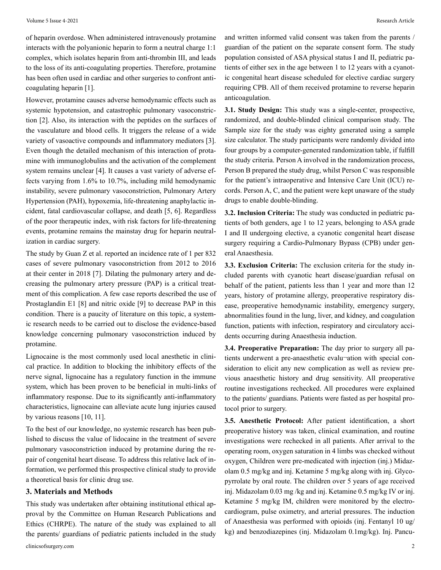of heparin overdose. When administered intravenously protamine interacts with the polyanionic heparin to form a neutral charge 1:1 complex, which isolates heparin from anti-thrombin III, and leads to the loss of its anti-coagulating properties. Therefore, protamine has been often used in cardiac and other surgeries to confront anticoagulating heparin [1].

However, protamine causes adverse hemodynamic effects such as systemic hypotension, and catastrophic pulmonary vasoconstriction [2]. Also, its interaction with the peptides on the surfaces of the vasculature and blood cells. It triggers the release of a wide variety of vasoactive compounds and inflammatory mediators [3]. Even though the detailed mechanism of this interaction of protamine with immunoglobulins and the activation of the complement system remains unclear [4]. It causes a vast variety of adverse effects varying from 1.6% to 10.7%, including mild hemodynamic instability, severe pulmonary vasoconstriction, Pulmonary Artery Hypertension (PAH), hypoxemia, life-threatening anaphylactic incident, fatal cardiovascular collapse, and death [5, 6]. Regardless of the poor therapeutic index, with risk factors for life-threatening events, protamine remains the mainstay drug for heparin neutralization in cardiac surgery.

The study by Guan Z et al. reported an incidence rate of 1 per 832 cases of severe pulmonary vasoconstriction from 2012 to 2016 at their center in 2018 [7]. Dilating the pulmonary artery and decreasing the pulmonary artery pressure (PAP) is a critical treatment of this complication. A few case reports described the use of Prostaglandin E1 [8] and nitric oxide [9] to decrease PAP in this condition. There is a paucity of literature on this topic, a systemic research needs to be carried out to disclose the evidence-based knowledge concerning pulmonary vasoconstriction induced by protamine.

Lignocaine is the most commonly used local anesthetic in clinical practice. In addition to blocking the inhibitory effects of the nerve signal, lignocaine has a regulatory function in the immune system, which has been proven to be beneficial in multi-links of inflammatory response. Due to its significantly anti-inflammatory characteristics, lignocaine can alleviate acute lung injuries caused by various reasons [10, 11].

To the best of our knowledge, no systemic research has been published to discuss the value of lidocaine in the treatment of severe pulmonary vasoconstriction induced by protamine during the repair of congenital heart disease. To address this relative lack of information, we performed this prospective clinical study to provide a theoretical basis for clinic drug use.

#### **3. Materials and Methods**

This study was undertaken after obtaining institutional ethical approval by the Committee on Human Research Publications and Ethics (CHRPE). The nature of the study was explained to all the parents/ guardians of pediatric patients included in the study and written informed valid consent was taken from the parents / guardian of the patient on the separate consent form. The study population consisted of ASA physical status I and II, pediatric patients of either sex in the age between 1 to 12 years with a cyanotic congenital heart disease scheduled for elective cardiac surgery requiring CPB. All of them received protamine to reverse heparin anticoagulation.

**3.1. Study Design:** This study was a single-center, prospective, randomized, and double-blinded clinical comparison study. The Sample size for the study was eighty generated using a sample size calculator. The study participants were randomly divided into four groups by a computer-generated randomization table, if fulfill the study criteria. Person A involved in the randomization process, Person B prepared the study drug, whilst Person C was responsible for the patient's intraoperative and Intensive Care Unit (ICU) records. Person A, C, and the patient were kept unaware of the study drugs to enable double-blinding.

**3.2. Inclusion Criteria:** The study was conducted in pediatric patients of both genders, age 1 to 12 years, belonging to ASA grade I and II undergoing elective, a cyanotic congenital heart disease surgery requiring a Cardio-Pulmonary Bypass (CPB) under general Anaesthesia.

**3.3. Exclusion Criteria:** The exclusion criteria for the study included parents with cyanotic heart disease/guardian refusal on behalf of the patient, patients less than 1 year and more than 12 years, history of protamine allergy, preoperative respiratory disease, preoperative hemodynamic instability, emergency surgery, abnormalities found in the lung, liver, and kidney, and coagulation function, patients with infection, respiratory and circulatory accidents occurring during Anaesthesia induction.

**3.4. Preoperative Preparation:** The day prior to surgery all patients underwent a pre-anaesthetic evalu-ation with special consideration to elicit any new complication as well as review previous anaesthetic history and drug sensitivity. All preoperative routine investigations rechecked. All procedures were explained to the patients/ guardians. Patients were fasted as per hospital protocol prior to surgery.

**3.5. Anesthetic Protocol:** After patient identification, a short preoperative history was taken, clinical examination, and routine investigations were rechecked in all patients. After arrival to the operating room, oxygen saturation in 4 limbs was checked without oxygen, Children were pre-medicated with injection (inj.) Midazolam 0.5 mg/kg and inj. Ketamine 5 mg/kg along with inj. Glycopyrrolate by oral route. The children over 5 years of age received inj. Midazolam 0.03 mg /kg and inj. Ketamine 0.5 mg/kg IV or inj. Ketamine 5 mg/kg IM, children were monitored by the electrocardiogram, pulse oximetry, and arterial pressures. The induction of Anaesthesia was performed with opioids (inj. Fentanyl 10 ug/ kg) and benzodiazepines (inj. Midazolam 0.1mg/kg). Inj. Pancu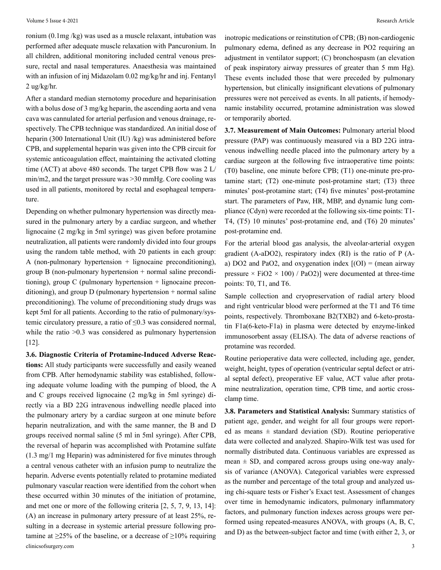ronium (0.1mg /kg) was used as a muscle relaxant, intubation was performed after adequate muscle relaxation with Pancuronium. In all children, additional monitoring included central venous pressure, rectal and nasal temperatures. Anaesthesia was maintained with an infusion of inj Midazolam 0.02 mg/kg/hr and inj. Fentanyl 2 ug/kg/hr.

After a standard median sternotomy procedure and heparinisation with a bolus dose of 3 mg/kg heparin, the ascending aorta and vena cava was cannulated for arterial perfusion and venous drainage, respectively. The CPB technique was standardized. An initial dose of heparin (300 International Unit (IU) /kg) was administered before CPB, and supplemental heparin was given into the CPB circuit for systemic anticoagulation effect, maintaining the activated clotting time (ACT) at above 480 seconds. The target CPB flow was 2 L/ min/m2, and the target pressure was >30 mmHg. Core cooling was used in all patients, monitored by rectal and esophageal temperature.

Depending on whether pulmonary hypertension was directly measured in the pulmonary artery by a cardiac surgeon, and whether lignocaine (2 mg/kg in 5ml syringe) was given before protamine neutralization, all patients were randomly divided into four groups using the random table method, with 20 patients in each group: A (non-pulmonary hypertension + lignocaine preconditioning), group B (non-pulmonary hypertension + normal saline preconditioning), group C (pulmonary hypertension + lignocaine preconditioning), and group D (pulmonary hypertension + normal saline preconditioning). The volume of preconditioning study drugs was kept 5ml for all patients. According to the ratio of pulmonary/systemic circulatory pressure, a ratio of  $\leq 0.3$  was considered normal, while the ratio  $>0.3$  was considered as pulmonary hypertension [12].

clinicsofsurgery.com 3 **3.6. Diagnostic Criteria of Protamine-Induced Adverse Reactions:** All study participants were successfully and easily weaned from CPB. After hemodynamic stability was established, following adequate volume loading with the pumping of blood, the A and C groups received lignocaine (2 mg/kg in 5ml syringe) directly via a BD 22G intravenous indwelling needle placed into the pulmonary artery by a cardiac surgeon at one minute before heparin neutralization, and with the same manner, the B and D groups received normal saline (5 ml in 5ml syringe). After CPB, the reversal of heparin was accomplished with Protamine sulfate (1.3 mg/1 mg Heparin) was administered for five minutes through a central venous catheter with an infusion pump to neutralize the heparin. Adverse events potentially related to protamine mediated pulmonary vascular reaction were identified from the cohort when these occurred within 30 minutes of the initiation of protamine, and met one or more of the following criteria [2, 5, 7, 9, 13, 14]: (A) an increase in pulmonary artery pressure of at least 25%, resulting in a decrease in systemic arterial pressure following protamine at  $\geq$ 25% of the baseline, or a decrease of  $\geq$ 10% requiring

inotropic medications or reinstitution of CPB; (B) non-cardiogenic pulmonary edema, defined as any decrease in PO2 requiring an adjustment in ventilator support; (C) bronchospasm (an elevation of peak inspiratory airway pressures of greater than 5 mm Hg). These events included those that were preceded by pulmonary hypertension, but clinically insignificant elevations of pulmonary pressures were not perceived as events. In all patients, if hemodynamic instability occurred, protamine administration was slowed or temporarily aborted.

**3.7. Measurement of Main Outcomes:** Pulmonary arterial blood pressure (PAP) was continuously measured via a BD 22G intravenous indwelling needle placed into the pulmonary artery by a cardiac surgeon at the following five intraoperative time points: (T0) baseline, one minute before CPB; (T1) one-minute pre-protamine start; (T2) one-minute post-protamine start; (T3) three minutes' post-protamine start; (T4) five minutes' post-protamine start. The parameters of Paw, HR, MBP, and dynamic lung compliance (Cdyn) were recorded at the following six-time points: T1- T4, (T5) 10 minutes' post-protamine end, and (T6) 20 minutes' post-protamine end.

For the arterial blood gas analysis, the alveolar-arterial oxygen gradient (A-aDO2), respiratory index (RI) is the ratio of P (Aa) DO2 and PaO2, and oxygenation index  $[(OI) = (mean airway$ pressure  $\times$  FiO2  $\times$  100) / PaO2)] were documented at three-time points: T0, T1, and T6.

Sample collection and cryopreservation of radial artery blood and right ventricular blood were performed at the T1 and T6 time points, respectively. Thromboxane B2(TXB2) and 6-keto-prostatin F1a(6-keto-F1a) in plasma were detected by enzyme-linked immunosorbent assay (ELISA). The data of adverse reactions of protamine was recorded.

Routine perioperative data were collected, including age, gender, weight, height, types of operation (ventricular septal defect or atrial septal defect), preoperative EF value, ACT value after protamine neutralization, operation time, CPB time, and aortic crossclamp time.

**3.8. Parameters and Statistical Analysis:** Summary statistics of patient age, gender, and weight for all four groups were reported as means  $\pm$  standard deviation (SD). Routine perioperative data were collected and analyzed. Shapiro-Wilk test was used for normally distributed data. Continuous variables are expressed as mean  $\pm$  SD, and compared across groups using one-way analysis of variance (ANOVA). Categorical variables were expressed as the number and percentage of the total group and analyzed using chi-square tests or Fisher's Exact test. Assessment of changes over time in hemodynamic indicators, pulmonary inflammatory factors, and pulmonary function indexes across groups were performed using repeated-measures ANOVA, with groups (A, B, C, and D) as the between-subject factor and time (with either 2, 3, or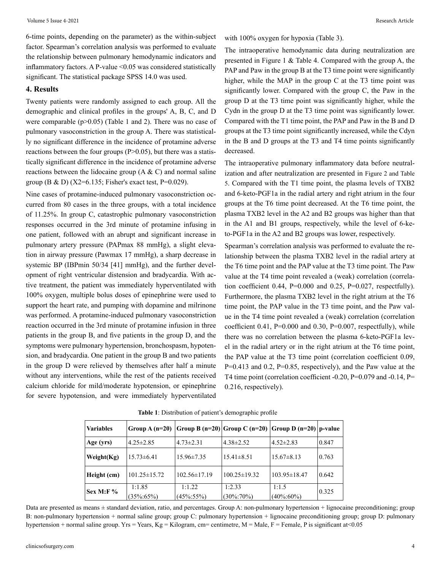6-time points, depending on the parameter) as the within-subject factor. Spearman's correlation analysis was performed to evaluate the relationship between pulmonary hemodynamic indicators and inflammatory factors. A P-value <0.05 was considered statistically significant. The statistical package SPSS 14.0 was used.

#### **4. Results**

Twenty patients were randomly assigned to each group. All the demographic and clinical profiles in the groups' A, B, C, and D were comparable ( $p > 0.05$ ) (Table 1 and 2). There was no case of pulmonary vasoconstriction in the group A. There was statistically no significant difference in the incidence of protamine adverse reactions between the four groups  $(P>0.05)$ , but there was a statistically significant difference in the incidence of protamine adverse reactions between the lidocaine group  $(A & C)$  and normal saline group (B & D) (X2=6.135; Fisher's exact test, P=0.029).

Nine cases of protamine-induced pulmonary vasoconstriction occurred from 80 cases in the three groups, with a total incidence of 11.25%. In group C, catastrophic pulmonary vasoconstriction responses occurred in the 3rd minute of protamine infusing in one patient, followed with an abrupt and significant increase in pulmonary artery pressure (PAPmax 88 mmHg), a slight elevation in airway pressure (Pawmax 17 mmHg), a sharp decrease in systemic BP (IBPmin 50/34 [41] mmHg), and the further development of right ventricular distension and bradycardia. With active treatment, the patient was immediately hyperventilated with 100% oxygen, multiple bolus doses of epinephrine were used to support the heart rate, and pumping with dopamine and milrinone was performed. A protamine-induced pulmonary vasoconstriction reaction occurred in the 3rd minute of protamine infusion in three patients in the group B, and five patients in the group D, and the symptoms were pulmonary hypertension, bronchospasm, hypotension, and bradycardia. One patient in the group B and two patients in the group D were relieved by themselves after half a minute without any interventions, while the rest of the patients received calcium chloride for mild/moderate hypotension, or epinephrine for severe hypotension, and were immediately hyperventilated with 100% oxygen for hypoxia (Table 3).

The intraoperative hemodynamic data during neutralization are presented in Figure 1 & Table 4. Compared with the group A, the PAP and Paw in the group B at the T3 time point were significantly higher, while the MAP in the group C at the T3 time point was significantly lower. Compared with the group C, the Paw in the group D at the T3 time point was significantly higher, while the Cydn in the group D at the T3 time point was significantly lower. Compared with the T1 time point, the PAP and Paw in the B and D groups at the T3 time point significantly increased, while the Cdyn in the B and D groups at the T3 and T4 time points significantly decreased.

The intraoperative pulmonary inflammatory data before neutralization and after neutralization are presented in Figure 2 and Table 5. Compared with the T1 time point, the plasma levels of TXB2 and 6-keto-PGF1a in the radial artery and right atrium in the four groups at the T6 time point decreased. At the T6 time point, the plasma TXB2 level in the A2 and B2 groups was higher than that in the A1 and B1 groups, respectively, while the level of 6-keto-PGF1a in the A2 and B2 groups was lower, respectively.

Spearman's correlation analysis was performed to evaluate the relationship between the plasma TXB2 level in the radial artery at the T6 time point and the PAP value at the T3 time point. The Paw value at the T4 time point revealed a (weak) correlation (correlation coefficient  $0.44$ ,  $P=0.000$  and  $0.25$ ,  $P=0.027$ , respectfully). Furthermore, the plasma TXB2 level in the right atrium at the T6 time point, the PAP value in the T3 time point, and the Paw value in the T4 time point revealed a (weak) correlation (correlation coefficient 0.41,  $P=0.000$  and 0.30,  $P=0.007$ , respectfully), while there was no correlation between the plasma 6-keto-PGF1a level in the radial artery or in the right atrium at the T6 time point, the PAP value at the T3 time point (correlation coefficient 0.09, P=0.413 and 0.2, P=0.85, respectively), and the Paw value at the T4 time point (correlation coefficient -0.20, P=0.079 and -0.14, P= 0.216, respectively).

| <b>Variables</b> | Group A $(n=20)$          |                           | $ Group B (n=20) Group C (n=20) Group D (n=20) p-value$ |                           |       |
|------------------|---------------------------|---------------------------|---------------------------------------------------------|---------------------------|-------|
| Age (yrs)        | $4.25 \pm 2.85$           | $4.73 \pm 2.31$           | $4.38 \pm 2.52$                                         | $4.52 \pm 2.83$           | 0.847 |
| Weight $(Kg)$    | $15.73\pm 6.41$           | $15.96 \pm 7.35$          | $15.41 \pm 8.51$                                        | $15.67 \pm 8.13$          | 0.763 |
| Height (cm)      | $101.25 \pm 15.72$        | $102.56 \pm 17.19$        | $100.25 \pm 19.32$                                      | $103.95 \pm 18.47$        | 0.642 |
| <b>Sex M:F%</b>  | 1:1.85<br>$(35\% : 65\%)$ | 1:1.22<br>$(45\% : 55\%)$ | 1:2.33<br>$(30\% : 70\%)$                               | 1:1.5<br>$(40\% \, 60\%)$ | 0.325 |

**Table 1**: Distribution of patient's demographic profile

Data are presented as means  $\pm$  standard deviation, ratio, and percentages. Group A: non-pulmonary hypertension  $+$  lignocaine preconditioning; group B: non-pulmonary hypertension + normal saline group; group C: pulmonary hypertension + lignocaine preconditioning group; group D: pulmonary hypertension + normal saline group. Yrs = Years, Kg = Kilogram, cm= centimetre, M = Male, F = Female, P is significant at<0.05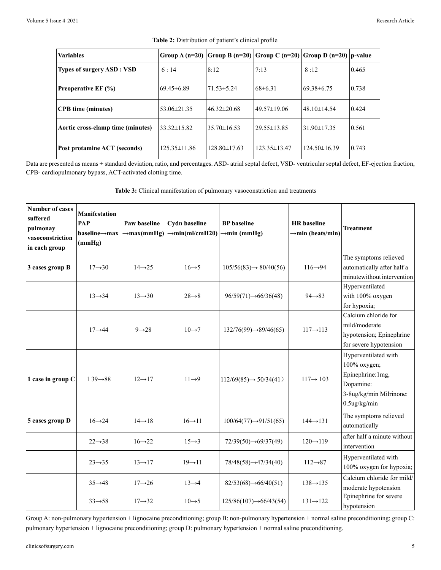| <b>Variables</b>                  |                    | Group A (n=20) Group B (n=20) Group C (n=20) Group D (n=20) p-value |                    |                  |       |
|-----------------------------------|--------------------|---------------------------------------------------------------------|--------------------|------------------|-------|
| Types of surgery ASD : VSD        | 6:14               | 8:12                                                                | 7:13               | 8:12             | 0.465 |
| <b>Preoperative EF (%)</b>        | 69.45±6.89         | $171.53 \pm 5.24$                                                   | $68\pm 6.31$       | 69.38±6.75       | 0.738 |
| <b>CPB</b> time (minutes)         | 153.06±21.35       | $46.32 \pm 20.68$                                                   | 149.57±19.06       | 148.10±14.54     | 0.424 |
| Aortic cross-clamp time (minutes) | $33.32 \pm 15.82$  | $35.70 \pm 16.53$                                                   | $129.55 \pm 13.85$ | 31.90±17.35      | 0.561 |
| Post protamine ACT (seconds)      | $125.35 \pm 11.86$ | $128.80 \pm 17.63$                                                  | $123.35 \pm 13.47$ | $124.50\pm16.39$ | 0.743 |

Data are presented as means ± standard deviation, ratio, and percentages. ASD- atrial septal defect, VSD- ventricular septal defect, EF-ejection fraction, CPB- cardiopulmonary bypass, ACT-activated clotting time.

**Table 3:** Clinical manifestation of pulmonary vasoconstriction and treatments

| <b>Number of cases</b><br>suffered<br>pulmonay<br>vasoconstriction<br>in each group | <b>Manifestation</b><br>PAP<br>$baseline \rightarrow max$<br>(mmHg) | Paw baseline<br>$\rightarrow$ max(mmHg) | <b>Cydn baseline</b><br>$\rightarrow$ min(ml/cmH20) | <b>BP</b> baseline<br>$\rightarrow$ min (mmHg) | <b>HR</b> baseline<br>$\rightarrow$ min (beats/min) | <b>Treatment</b>                                                                                                     |
|-------------------------------------------------------------------------------------|---------------------------------------------------------------------|-----------------------------------------|-----------------------------------------------------|------------------------------------------------|-----------------------------------------------------|----------------------------------------------------------------------------------------------------------------------|
| 3 cases group B                                                                     | $17 \rightarrow 30$                                                 | $14 \rightarrow 25$                     | $16 \rightarrow 5$                                  | $105/56(83) \rightarrow 80/40(56)$             | $116 \rightarrow 94$                                | The symptoms relieved<br>automatically after half a<br>minutewithout intervention                                    |
|                                                                                     | $13 \rightarrow 34$                                                 | $13 \rightarrow 30$                     | $28 \rightarrow 8$                                  | $96/59(71) \rightarrow 66/36(48)$              | $94 \rightarrow 83$                                 | Hyperventilated<br>with 100% oxygen<br>for hypoxia;                                                                  |
|                                                                                     | $17 \rightarrow 44$                                                 | $9 \rightarrow 28$                      | $10 \rightarrow 7$                                  | $132/76(99) \rightarrow 89/46(65)$             | $117 \rightarrow 113$                               | Calcium chloride for<br>mild/moderate<br>hypotension; Epinephrine<br>for severe hypotension                          |
| 1 case in group C                                                                   | $139 \rightarrow 88$                                                | $12 \rightarrow 17$                     | $11 \rightarrow 9$                                  | $112/69(85) \rightarrow 50/34(41)$             | $117 \rightarrow 103$                               | Hyperventilated with<br>100% oxygen;<br>Epinephrine: 1mg,<br>Dopamine:<br>3-8ug/kg/min Milrinone:<br>$0.5$ ug/kg/min |
| 5 cases group D                                                                     | $16 \rightarrow 24$                                                 | $14 \rightarrow 18$                     | $16 \rightarrow 11$                                 | $100/64(77) \rightarrow 91/51(65)$             | $144 \rightarrow 131$                               | The symptoms relieved<br>automatically                                                                               |
|                                                                                     | $22 \rightarrow 38$                                                 | $16 \rightarrow 22$                     | $15 \rightarrow 3$                                  | $72/39(50) \rightarrow 69/37(49)$              | $120 \rightarrow 119$                               | after half a minute without<br>intervention                                                                          |
|                                                                                     | $23 \rightarrow 35$                                                 | $13 \rightarrow 17$                     | $19 \rightarrow 11$                                 | $78/48(58) \rightarrow 47/34(40)$              | $112 \rightarrow 87$                                | Hyperventilated with<br>100% oxygen for hypoxia;                                                                     |
|                                                                                     | $35 \rightarrow 48$                                                 | $17 \rightarrow 26$                     | $13 \rightarrow 4$                                  | $82/53(68) \rightarrow 66/40(51)$              | $138 \rightarrow 135$                               | Calcium chloride for mild/<br>moderate hypotension                                                                   |
|                                                                                     | $33 \rightarrow 58$                                                 | $17 \rightarrow 32$                     | $10 \rightarrow 5$                                  | $125/86(107) \rightarrow 66/43(54)$            | $131 \rightarrow 122$                               | Epinephrine for severe<br>hypotension                                                                                |

Group A: non-pulmonary hypertension + lignocaine preconditioning; group B: non-pulmonary hypertension + normal saline preconditioning; group C: pulmonary hypertension + lignocaine preconditioning; group D: pulmonary hypertension + normal saline preconditioning.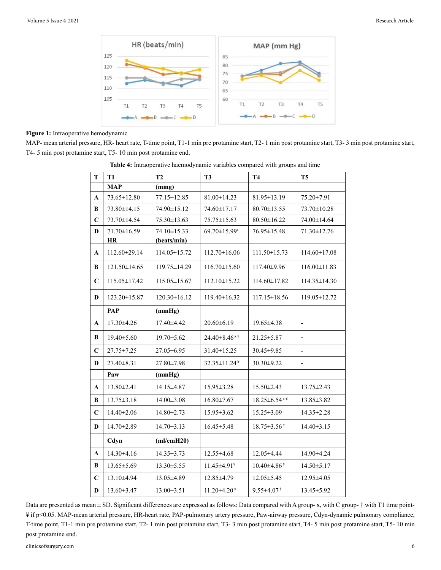

#### **Figure 1:** Intraoperative hemodynamic

MAP- mean arterial pressure, HR- heart rate, T-time point, T1-1 min pre protamine start, T2- 1 min post protamine start, T3- 3 min post protamine start, T4- 5 min post protamine start, T5- 10 min post protamine end.

| T            | <b>T1</b>          | <b>T2</b>          | T <sub>3</sub>           | <b>T4</b>                     | T <sub>5</sub>           |
|--------------|--------------------|--------------------|--------------------------|-------------------------------|--------------------------|
|              | <b>MAP</b>         | (mmg)              |                          |                               |                          |
| A            | 73.65±12.80        | $77.15 \pm 12.85$  | $81.00 \pm 14.23$        | 81.95±13.19                   | 75.20±7.91               |
| B            | 73.80±14.15        | 74.90±15.12        | 74.60±17.17              | 80.70±13.55                   | 73.70±10.28              |
| $\mathbf C$  | 73.70±14.54        | $75.30 \pm 13.63$  | $75.75 \pm 15.63$        | $80.50 \pm 16.22$             | 74.00±14.64              |
| D            | 71.70±16.59        | 74.10±15.33        | 69.70±15.99*             | 76.95±15.48                   | 71.30±12.76              |
|              | <b>HR</b>          | (beats/min)        |                          |                               |                          |
| A            | 112.60±29.14       | $114.05 \pm 15.72$ | $112.70 \pm 16.06$       | $111.50 \pm 15.73$            | $114.60 \pm 17.08$       |
| B            | $121.50 \pm 14.65$ | 119.75±14.29       | $116.70 \pm 15.60$       | 117.40±9.96                   | $116.00 \pm 11.83$       |
| $\mathbf C$  | 115.05 ± 17.42     | $115.05 \pm 15.67$ | $112.10 \pm 15.22$       | 114.60±17.82                  | $114.35 \pm 14.30$       |
| D            | 123.20±15.87       | $120.30 \pm 16.12$ | $119.40 \pm 16.32$       | $117.15 \pm 18.56$            | 119.05 ± 12.72           |
|              | PAP                | (mmHg)             |                          |                               |                          |
| $\mathbf A$  | 17.30±4.26         | 17.40±4.42         | $20.60 \pm 6.19$         | 19.65±4.38                    | $\overline{\phantom{0}}$ |
| B            | 19.40±5.60         | 19.70 ± 5.62       | $24.40\pm8.46*$          | $21.25 \pm 5.87$              | $\frac{1}{2}$            |
| $\mathbf C$  | $27.75 \pm 7.25$   | 27.05 ± 6.95       | 31.40±15.25              | 30.45 ± 9.85                  | $\overline{\phantom{0}}$ |
| D            | $27.40 \pm 8.31$   | 27.80 ± 7.98       | 32.35±11.24 <sup>¥</sup> | $30.30 \pm 9.22$              | $\overline{\phantom{a}}$ |
|              | Paw                | (mmHg)             |                          |                               |                          |
| $\mathbf{A}$ | 13.80±2.41         | 14.15±4.87         | 15.95 ± 3.28             | $15.50 \pm 2.43$              | $13.75 \pm 2.43$         |
| B            | $13.75 \pm 3.18$   | $14.00 \pm 3.08$   | $16.80 \pm 7.67$         | $18.25 \pm 6.54$ **           | 13.85 ± 3.82             |
| $\mathbf C$  | 14.40±2.06         | $14.80 \pm 2.73$   | $15.95 \pm 3.62$         | $15.25 \pm 3.09$              | $14.35 \pm 2.28$         |
| D            | 14.70±2.89         | $14.70 \pm 3.13$   | $16.45 \pm 5.48$         | $18.75 \pm 3.56$ <sup>†</sup> | $14.40 \pm 3.15$         |
|              | Cdyn               | (ml/cmH20)         |                          |                               |                          |
| $\mathbf A$  | 14.30±4.16         | $14.35 \pm 3.73$   | 12.55±4.68               | 12.05±4.44                    | 14.90±4.24               |
| B            | 13.65±5.69         | $13.30 \pm 5.55$   | 11.45±4.91*              | $10.40\pm4.86*$               | 14.50 ± 5.17             |
| $\mathbf C$  | 13.10±4.94         | 13.05±4.89         | 12.85±4.79               | $12.05 \pm 5.45$              | 12.95±4.05               |
| D            | $13.60 \pm 3.47$   | $13.00 \pm 3.51$   | $11.20 \pm 4.20$ *       | $9.55 \pm 4.07$ <sup>†</sup>  | 13.45 ± 5.92             |

**Table 4:** Intraoperative haemodynamic variables compared with groups and time

Data are presented as mean ± SD. Significant differences are expressed as follows: Data compared with A group- x, with C group- † with T1 time point-¥ if p<0.05. MAP-mean arterial pressure, HR-heart rate, PAP-pulmonary artery pressure, Paw-airway pressure, Cdyn-dynamic pulmonary compliance, T-time point, T1-1 min pre protamine start, T2- 1 min post protamine start, T3- 3 min post protamine start, T4- 5 min post protamine start, T5- 10 min post protamine end.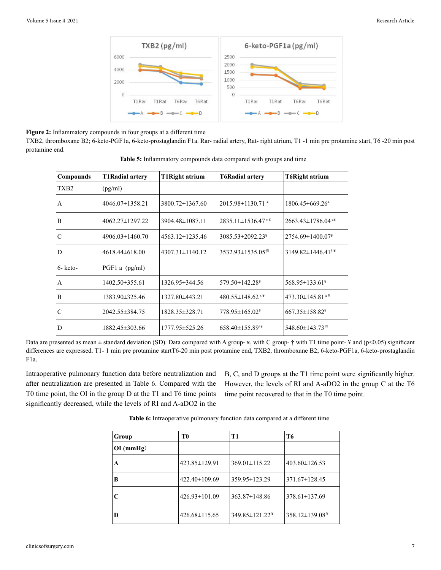

## **Figure 2:** Inflammatory compounds in four groups at a different time

TXB2, thromboxane B2; 6-keto-PGF1a, 6-keto-prostaglandin F1a. Rar- radial artery, Rat- right atrium, T1 -1 min pre protamine start, T6 -20 min post protamine end.

| Compounds         | <b>T1Radial artery</b> | <b>T1Right atrium</b> | <b>T6Radial artery</b>              | <b>T6Right atrium</b>         |
|-------------------|------------------------|-----------------------|-------------------------------------|-------------------------------|
| TXB <sub>2</sub>  | (pg/ml)                |                       |                                     |                               |
| A                 | $4046.07 \pm 1358.21$  | $3800.72 \pm 1367.60$ | $2015.98 \pm 1130.71$ <sup>¥</sup>  | $1806.45\pm 669.26^*$         |
| B                 | $4062.27 \pm 1297.22$  | 3904.48±1087.11       | $2835.11 \pm 1536.47$ <sup>**</sup> | $2663.43 \pm 1786.04$ **      |
| $\mathcal{C}$     | 4906.03±1460.70        | $4563.12 \pm 1235.46$ | 3085.53±2092.23 <sup>¥</sup>        | $2754.69 \pm 1400.07^*$       |
| D                 | $4618.44\pm 618.00$    | $4307.31 \pm 1140.12$ | 3532.93±1535.05 <sup>†¥</sup>       | $3149.82\pm1446.41^{\dagger}$ |
| $6 - \text{keto}$ | $PGF1$ a (pg/ml)       |                       |                                     |                               |
| A                 | $1402.50 \pm 355.61$   | 1326.95±344.56        | $579.50 \pm 142.28^*$               | $568.95 \pm 133.61^*$         |
| B                 | 1383.90±325.46         | 1327.80±443.21        | $480.55 \pm 148.62$ **              | $473.30 \pm 145.81$ * $*$     |
| $\mathcal{C}$     | 2042.55 ± 384.75       | 1828.35 ± 328.71      | 778.95±165.02 <sup>¥</sup>          | $667.35 \pm 158.82^*$         |
| D                 | 1882.45 ± 303.66       | 1777.95±525.26        | 658.40±155.89 <sup>†¥</sup>         | 548.60±143.73 <sup>†¥</sup>   |

**Table 5:** Inflammatory compounds data compared with groups and time

Data are presented as mean  $\pm$  standard deviation (SD). Data compared with A group-  $\mathbf{x}$ , with C group-  $\dagger$  with T1 time point- ¥ and (p<0.05) significant differences are expressed. T1- 1 min pre protamine startT6-20 min post protamine end, TXB2, thromboxane B2; 6-keto-PGF1a, 6-keto-prostaglandin F1a.

Intraoperative pulmonary function data before neutralization and after neutralization are presented in Table 6. Compared with the T0 time point, the OI in the group D at the T1 and T6 time points significantly decreased, while the levels of RI and A-aDO2 in the

B, C, and D groups at the T1 time point were significantly higher. However, the levels of RI and A-aDO2 in the group C at the T6 time point recovered to that in the T0 time point.

| Group       | T <sub>0</sub>      | T1                         | T6                    |
|-------------|---------------------|----------------------------|-----------------------|
| $OI$ (mmHg) |                     |                            |                       |
| A           | $423.85 \pm 129.91$ | $369.01 \pm 115.22$        | $403.60 \pm 126.53$   |
| B           | 422.40±109.69       | 359.95 ± 123.29            | $371.67 \pm 128.45$   |
| C           | $426.93 \pm 101.09$ | $363.87 \pm 148.86$        | $378.61 \pm 137.69$   |
| D           | $426.68 \pm 115.65$ | 349.85±121.22 <sup>¥</sup> | $358.12 \pm 139.08^*$ |

**Table 6:** Intraoperative pulmonary function data compared at a different time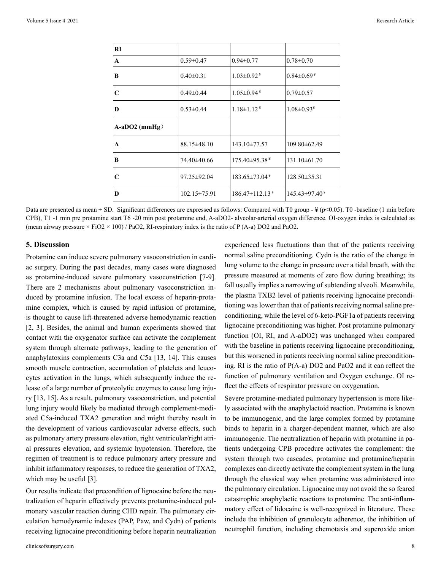| RI                      |                    |                                  |                    |
|-------------------------|--------------------|----------------------------------|--------------------|
| $\mathbf{A}$            | $0.59 \pm 0.47$    | $0.94 \pm 0.77$                  | $0.78 \pm 0.70$    |
| B                       | $0.40 \pm 0.31$    | $1.03 \pm 0.92^*$                | $0.84 \pm 0.69^*$  |
| $\overline{\mathbf{C}}$ | $0.49 \pm 0.44$    | $1.05 \pm 0.94$ <sup>¥</sup>     | $0.79 \pm 0.57$    |
| D                       | $0.53 \pm 0.44$    | $1.18 \pm 1.12^*$                | $1.08 \pm 0.93^*$  |
| $A-aDO2$ (mmHg)         |                    |                                  |                    |
| $\mathbf{A}$            | $88.15 \pm 48.10$  | 143.10±77.57                     | 109.80±62.49       |
| B                       | 74.40±40.66        | $175.40\pm95.38*$                | $131.10\pm 61.70$  |
| $\mathbf C$             | 97.25±92.04        | $183.65 \pm 73.04$ <sup>¥</sup>  | $128.50 \pm 35.31$ |
| D                       | $102.15 \pm 75.91$ | $186.47 \pm 112.13$ <sup>¥</sup> | $145.43\pm97.40*$  |

Data are presented as mean  $\pm$  SD. Significant differences are expressed as follows: Compared with T0 group - ¥ (p<0.05). T0 -baseline (1 min before CPB), T1 -1 min pre protamine start T6 -20 min post protamine end, A-aDO2- alveolar-arterial oxygen difference. OI-oxygen index is calculated as (mean airway pressure  $\times$  FiO2  $\times$  100) / PaO2, RI-respiratory index is the ratio of P (A-a) DO2 and PaO2.

#### **5. Discussion**

Protamine can induce severe pulmonary vasoconstriction in cardiac surgery. During the past decades, many cases were diagnosed as protamine-induced severe pulmonary vasoconstriction [7-9]. There are 2 mechanisms about pulmonary vasoconstriction induced by protamine infusion. The local excess of heparin-protamine complex, which is caused by rapid infusion of protamine, is thought to cause lift-threatened adverse hemodynamic reaction [2, 3]. Besides, the animal and human experiments showed that contact with the oxygenator surface can activate the complement system through alternate pathways, leading to the generation of anaphylatoxins complements C3a and C5a [13, 14]. This causes smooth muscle contraction, accumulation of platelets and leucocytes activation in the lungs, which subsequently induce the release of a large number of proteolytic enzymes to cause lung injury [13, 15]. As a result, pulmonary vasoconstriction, and potential lung injury would likely be mediated through complement-mediated C5a-induced TXA2 generation and might thereby result in the development of various cardiovascular adverse effects, such as pulmonary artery pressure elevation, right ventricular/right atrial pressures elevation, and systemic hypotension. Therefore, the regimen of treatment is to reduce pulmonary artery pressure and inhibit inflammatory responses, to reduce the generation of TXA2, which may be useful [3].

Our results indicate that precondition of lignocaine before the neutralization of heparin effectively prevents protamine-induced pulmonary vascular reaction during CHD repair. The pulmonary circulation hemodynamic indexes (PAP, Paw, and Cydn) of patients receiving lignocaine preconditioning before heparin neutralization experienced less fluctuations than that of the patients receiving normal saline preconditioning. Cydn is the ratio of the change in lung volume to the change in pressure over a tidal breath, with the pressure measured at moments of zero flow during breathing; its fall usually implies a narrowing of subtending alveoli. Meanwhile, the plasma TXB2 level of patients receiving lignocaine preconditioning was lower than that of patients receiving normal saline preconditioning, while the level of 6-keto-PGF1a of patients receiving lignocaine preconditioning was higher. Post protamine pulmonary function (OI, RI, and A-aDO2) was unchanged when compared with the baseline in patients receiving lignocaine preconditioning, but this worsened in patients receiving normal saline preconditioning. RI is the ratio of P(A-a) DO2 and PaO2 and it can reflect the function of pulmonary ventilation and Oxygen exchange. OI reflect the effects of respirator pressure on oxygenation.

Severe protamine-mediated pulmonary hypertension is more likely associated with the anaphylactoid reaction. Protamine is known to be immunogenic, and the large complex formed by protamine binds to heparin in a charger-dependent manner, which are also immunogenic. The neutralization of heparin with protamine in patients undergoing CPB procedure activates the complement: the system through two cascades, protamine and protamine/heparin complexes can directly activate the complement system in the lung through the classical way when protamine was administered into the pulmonary circulation. Lignocaine may not avoid the so feared catastrophic anaphylactic reactions to protamine. The anti-inflammatory effect of lidocaine is well-recognized in literature. These include the inhibition of granulocyte adherence, the inhibition of neutrophil function, including chemotaxis and superoxide anion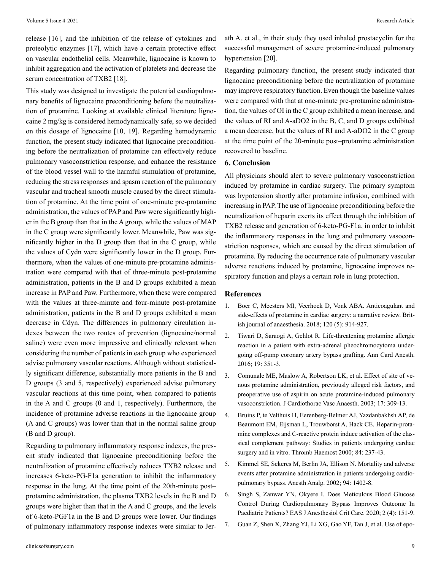release [16], and the inhibition of the release of cytokines and proteolytic enzymes [17], which have a certain protective effect on vascular endothelial cells. Meanwhile, lignocaine is known to inhibit aggregation and the activation of platelets and decrease the serum concentration of TXB2 [18].

This study was designed to investigate the potential cardiopulmonary benefits of lignocaine preconditioning before the neutralization of protamine. Looking at available clinical literature lignocaine 2 mg/kg is considered hemodynamically safe, so we decided on this dosage of lignocaine [10, 19]. Regarding hemodynamic function, the present study indicated that lignocaine preconditioning before the neutralization of protamine can effectively reduce pulmonary vasoconstriction response, and enhance the resistance of the blood vessel wall to the harmful stimulation of protamine, reducing the stress responses and spasm reaction of the pulmonary vascular and tracheal smooth muscle caused by the direct stimulation of protamine. At the time point of one-minute pre-protamine administration, the values of PAP and Paw were significantly higher in the B group than that in the A group, while the values of MAP in the C group were significantly lower. Meanwhile, Paw was significantly higher in the D group than that in the C group, while the values of Cydn were significantly lower in the D group. Furthermore, when the values of one-minute pre-protamine administration were compared with that of three-minute post-protamine administration, patients in the B and D groups exhibited a mean increase in PAP and Paw. Furthermore, when these were compared with the values at three-minute and four-minute post-protamine administration, patients in the B and D groups exhibited a mean decrease in Cdyn. The differences in pulmonary circulation indexes between the two routes of prevention (lignocaine/normal saline) were even more impressive and clinically relevant when considering the number of patients in each group who experienced advise pulmonary vascular reactions. Although without statistically significant difference, substantially more patients in the B and D groups (3 and 5, respectively) experienced advise pulmonary vascular reactions at this time point, when compared to patients in the A and C groups (0 and 1, respectively). Furthermore, the incidence of protamine adverse reactions in the lignocaine group (A and C groups) was lower than that in the normal saline group (B and D group).

Regarding to pulmonary inflammatory response indexes, the present study indicated that lignocaine preconditioning before the neutralization of protamine effectively reduces TXB2 release and increases 6-keto-PG-F1a generation to inhibit the inflammatory response in the lung. At the time point of the 20th-minute post– protamine administration, the plasma TXB2 levels in the B and D groups were higher than that in the A and C groups, and the levels of 6-keto-PGF1a in the B and D groups were lower. Our findings of pulmonary inflammatory response indexes were similar to Jerath A. et al., in their study they used inhaled prostacyclin for the successful management of severe protamine-induced pulmonary hypertension [20].

Regarding pulmonary function, the present study indicated that lignocaine preconditioning before the neutralization of protamine may improve respiratory function. Even though the baseline values were compared with that at one-minute pre-protamine administration, the values of OI in the C group exhibited a mean increase, and the values of RI and A-aDO2 in the B, C, and D groups exhibited a mean decrease, but the values of RI and A-aDO2 in the C group at the time point of the 20-minute post–protamine administration recovered to baseline.

#### **6. Conclusion**

All physicians should alert to severe pulmonary vasoconstriction induced by protamine in cardiac surgery. The primary symptom was hypotension shortly after protamine infusion, combined with increasing in PAP. The use of lignocaine preconditioning before the neutralization of heparin exerts its effect through the inhibition of TXB2 release and generation of 6-keto-PG-F1a, in order to inhibit the inflammatory responses in the lung and pulmonary vasoconstriction responses, which are caused by the direct stimulation of protamine. By reducing the occurrence rate of pulmonary vascular adverse reactions induced by protamine, lignocaine improves respiratory function and plays a certain role in lung protection.

#### **References**

- 1. Boer C, Meesters MI, Veerhoek D, Vonk ABA. Anticoagulant and side-effects of protamine in cardiac surgery: a narrative review. British journal of anaesthesia. 2018; 120 (5): 914-927.
- 2. [Tiwari D, Saraogi A, Gehlot R. Life-threatening protamine allergic](https://pubmed.ncbi.nlm.nih.gov/27052084/) [reaction in a patient with extra-adrenal pheochromocytoma under](https://pubmed.ncbi.nlm.nih.gov/27052084/)[going off-pump coronary artery bypass grafting. Ann Card Anesth.](https://pubmed.ncbi.nlm.nih.gov/27052084/)  [2016; 19: 351-3.](https://pubmed.ncbi.nlm.nih.gov/27052084/)
- 3. Comunale ME, Maslow A, Robertson LK, et al. Effect of site of venous protamine administration, previously alleged risk factors, and preoperative use of aspirin on acute protamine-induced pulmonary vasoconstriction. J Cardiothorac Vasc Anaesth. 2003; 17: 309-13.
- 4. [Bruins P, te Velthuis H, Eerenberg-Belmer AJ, Yazdanbakhsh AP, de](https://pubmed.ncbi.nlm.nih.gov/10959695/) [Beaumont EM, Eijsman L, Trouwborst A, Hack CE. Heparin-prota](https://pubmed.ncbi.nlm.nih.gov/10959695/)[mine complexes and C-reactive protein induce activation of the clas](https://pubmed.ncbi.nlm.nih.gov/10959695/)[sical complement pathway: Studies in patients undergoing cardiac](https://pubmed.ncbi.nlm.nih.gov/10959695/) [surgery and in vitro. Thromb Haemost 2000; 84: 237-43.](https://pubmed.ncbi.nlm.nih.gov/10959695/)
- 5. Kimmel SE, Sekeres M, Berlin JA, Ellison N. Mortality and adverse events after protamine administration in patients undergoing cardiopulmonary bypass. Anesth Analg. 2002; 94: 1402-8.
- 6. Singh S, Zanwar YN, Okyere I. Does Meticulous Blood Glucose Control During Cardiopulmonary Bypass Improves Outcome In Paediatric Patients? EAS J Anesthesiol Crit Care. 2020; 2 (4): 151-9.
- 7. [Guan Z, Shen X, Zhang YJ, Li XG, Gao YF, Tan J, et al. Use of epo](https://pubmed.ncbi.nlm.nih.gov/29995750/)-